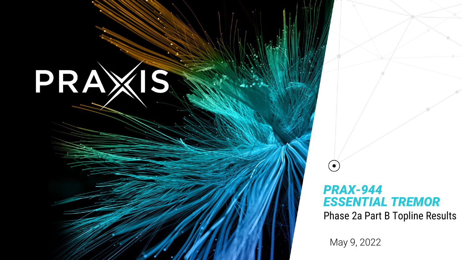# PRAXIS

## *PRAX-944 ESSENTIAL TREMOR*

Phase 2a Part B Topline Results

May 9, 2022

 $\bullet$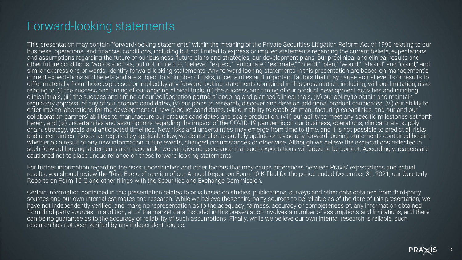## Forward-looking statements

This presentation may contain "forward-looking statements" within the meaning of the Private Securities Litigation Reform Act of 1995 relating to our business, operations, and financial conditions, including but not limited to express or implied statements regarding the current beliefs, expectations and assumptions regarding the future of our business, future plans and strategies, our development plans, our preclinical and clinical results and other future conditions. Words such as, but not limited to, "believe," "expect," "anticipate," "estimate," "intend," "plan," "would," "should" and "could," and similar expressions or words, identify forward-looking statements. Any forward-looking statements in this presentation are based on management's current expectations and beliefs and are subject to a number of risks, uncertainties and important factors that may cause actual events or results to differ materially from those expressed or implied by any forward-looking statements contained in this presentation, including, without limitation, risks relating to: (i) the success and timing of our ongoing clinical trials, (ii) the success and timing of our product development activities and initiating clinical trials, (iii) the success and timing of our collaboration partners' ongoing and planned clinical trials, (iv) our ability to obtain and maintain regulatory approval of any of our product candidates, (v) our plans to research, discover and develop additional product candidates, (vi) our ability to enter into collaborations for the development of new product candidates, (vii) our ability to establish manufacturing capabilities, and our and our collaboration partners' abilities to manufacture our product candidates and scale production, (viii) our ability to meet any specific milestones set forth herein, and (ix) uncertainties and assumptions regarding the impact of the COVID-19 pandemic on our business, operations, clinical trials, supply chain, strategy, goals and anticipated timelines. New risks and uncertainties may emerge from time to time, and it is not possible to predict all risks and uncertainties. Except as required by applicable law, we do not plan to publicly update or revise any forward-looking statements contained herein, whether as a result of any new information, future events, changed circumstances or otherwise. Although we believe the expectations reflected in such forward-looking statements are reasonable, we can give no assurance that such expectations will prove to be correct. Accordingly, readers are cautioned not to place undue reliance on these forward-looking statements.

For further information regarding the risks, uncertainties and other factors that may cause differences between Praxis' expectations and actual results, you should review the "Risk Factors" section of our Annual Report on Form 10-K filed for the period ended December 31, 2021, our Quarterly Reports on Form 10-Q and other filings with the Securities and Exchange Commission.

Certain information contained in this presentation relates to or is based on studies, publications, surveys and other data obtained from third-party sources and our own internal estimates and research. While we believe these third-party sources to be reliable as of the date of this presentation, we have not independently verified, and make no representation as to the adequacy, fairness, accuracy or completeness of, any information obtained from third-party sources. In addition, all of the market data included in this presentation involves a number of assumptions and limitations, and there can be no guarantee as to the accuracy or reliability of such assumptions. Finally, while we believe our own internal research is reliable, such research has not been verified by any independent source.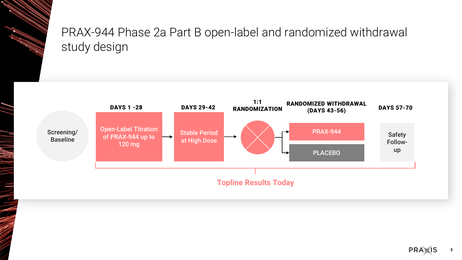# PRAX-944 Phase 2a Part B open-label and randomized withdrawal study design

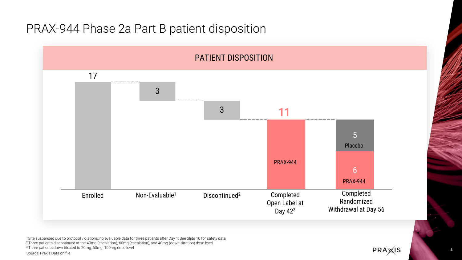## PRAX-944 Phase 2a Part B patient disposition



<sup>1</sup>Site suspended due to protocol violations, no evaluable data for three patients after Day 1; See Slide 10 for safety data <sup>2</sup>Three patients discontinued at the 40mg (escalation), 60mg (escalation), and 40mg (down-titration) dose level <sup>3</sup>Three patients down titrated to 20mg, 60mg, 100mg dose level Source: Praxis Data on file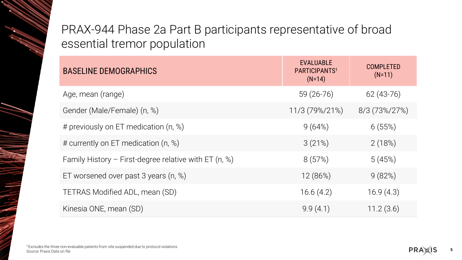# PRAX-944 Phase 2a Part B participants representative of broad essential tremor population

| <b>BASELINE DEMOGRAPHICS</b>                            | <b>EVALUABLE</b><br>PARTICIPANTS <sup>1</sup><br>$(N=14)$ | <b>COMPLETED</b><br>$(N=11)$ |
|---------------------------------------------------------|-----------------------------------------------------------|------------------------------|
| Age, mean (range)                                       | $59(26-76)$                                               | $62(43-76)$                  |
| Gender (Male/Female) (n, %)                             | 11/3 (79%/21%)                                            | 8/3 (73%/27%)                |
| # previously on ET medication (n, %)                    | 9(64%)                                                    | 6(55%)                       |
| # currently on ET medication (n, %)                     | 3(21%)                                                    | 2(18%)                       |
| Family History – First-degree relative with ET $(n, %)$ | 8(57%)                                                    | 5(45%)                       |
| ET worsened over past 3 years $(n, %)$                  | 12 (86%)                                                  | 9(82%)                       |
| TETRAS Modified ADL, mean (SD)                          | 16.6(4.2)                                                 | 16.9(4.3)                    |
| Kinesia ONE, mean (SD)                                  | 9.9(4.1)                                                  | 11.2(3.6)                    |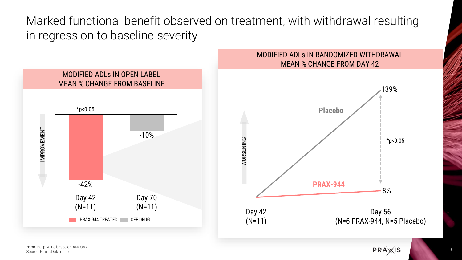Marked functional benefit observed on treatment, with withdrawal resulting in regression to baseline severity



\*Nominal p-value based on ANCOVA Source: Praxis Data on file

**6**

**PRA**<sub>IS</sub>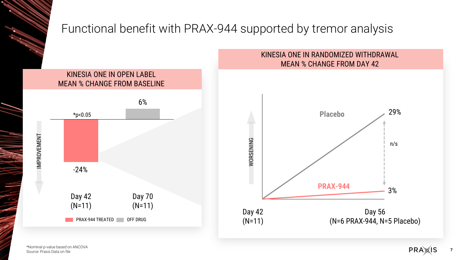

# Functional benefit with PRAX-944 supported by tremor analysis

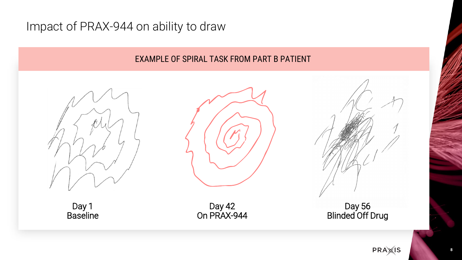## Impact of PRAX-944 on ability to draw

#### EXAMPLE OF SPIRAL TASK FROM PART B PATIENT





Day 1 Baseline

Day 42 On PRAX-944

Day 56 Blinded Off Drug

**PRA**<sup>IS</sup>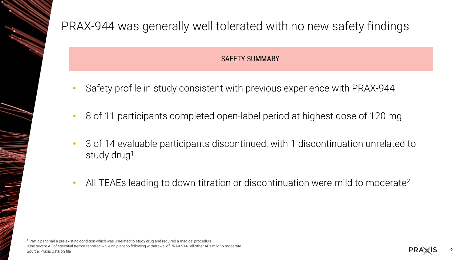

- Safety profile in study consistent with previous experience with PRAX-944
- 8 of 11 participants completed open-label period at highest dose of 120 mg
- 3 of 14 evaluable participants discontinued, with 1 discontinuation unrelated to study drug<sup>1</sup>
- All TEAEs leading to down-titration or discontinuation were mild to moderate2

1 Participant had a pre-existing condition which was unrelated to study drug and required a medical procedure 2One severe AE of essential tremor reported while on placebo following withdrawal of PRAX-944; all other AEs mild to moderate Source: Praxis Data on file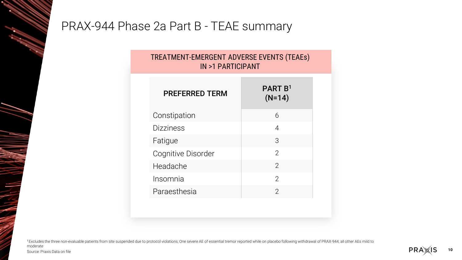## PRAX-944 Phase 2a Part B - TEAE summary

#### TREATMENT-EMERGENT ADVERSE EVENTS (TEAEs) IN >1 PARTICIPANT

| <b>PREFERRED TERM</b> | <b>PART B1</b><br>$(N=14)$ |
|-----------------------|----------------------------|
| Constipation          | 6                          |
| <b>Dizziness</b>      | 4                          |
| Fatigue               | 3                          |
| Cognitive Disorder    | $\mathcal{P}$              |
| Headache              | $\overline{2}$             |
| Insomnia              | $\mathcal{P}$              |
| Paraesthesia          | 2                          |

<sup>1</sup>Excludes the three non-evaluable patients from site suspended due to protocol violations; One severe AE of essential tremor reported while on placebo following withdrawal of PRAX-944; all other AEs mild to moderate

Source: Praxis Data on file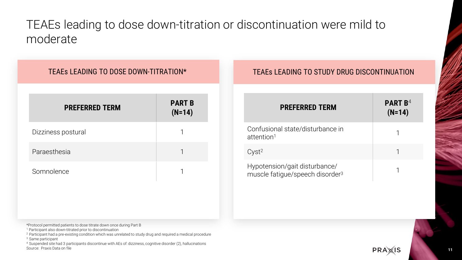# TEAEs leading to dose down-titration or discontinuation were mild to moderate

#### TEAEs LEADING TO DOSE DOWN-TITRATION\*

| <b>PREFERRED TERM</b> | <b>PART B</b><br>$(N=14)$ |
|-----------------------|---------------------------|
| Dizziness postural    |                           |
| Paraesthesia          |                           |
| Somnolence            |                           |

#### TEAEs LEADING TO STUDY DRUG DISCONTINUATION

| <b>PREFERRED TERM</b>                                                        | <b>PART B<sup>4</sup></b><br>$(N=14)$ |
|------------------------------------------------------------------------------|---------------------------------------|
| Confusional state/disturbance in<br>attention <sup>1</sup>                   |                                       |
| Cyst <sup>2</sup>                                                            |                                       |
| Hypotension/gait disturbance/<br>muscle fatigue/speech disorder <sup>3</sup> |                                       |

\*Protocol permitted patients to dose titrate down once during Part B

<sup>1</sup> Participant also down-titrated prior to discontinuation

<sup>2</sup> Participant had a pre-existing condition which was unrelated to study drug and required a medical procedure 3 Same participant

4 Suspended site had 3 participants discontinue with AEs of: dizziness, cognitive disorder (2), hallucinations Source: Praxis Data on file